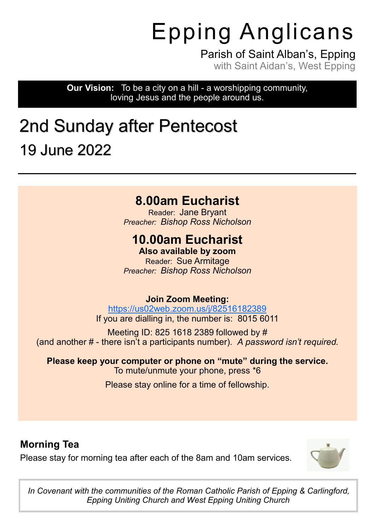# Epping Anglicans

Parish of Saint Alban's, Epping with Saint Aidan's, West Epping

**Our Vision:** To be a city on a hill - a worshipping community, loving Jesus and the people around us.

## 2nd Sunday after Pentecost 19 June 2022

#### **8.00am Eucharist**

Reader: Jane Bryant *Preacher: Bishop Ross Nicholson*

#### **10.00am Eucharist**

**Also available by zoom** Reader: Sue Armitage *Preacher: Bishop Ross Nicholson*

#### **Join Zoom Meeting:**

<https://us02web.zoom.us/j/82516182389> If you are dialling in, the number is: 8015 6011

Meeting ID: 825 1618 2389 followed by # (and another # - there isn't a participants number). *A password isn't required.*

**Please keep your computer or phone on "mute" during the service.** To mute/unmute your phone, press \*6

Please stay online for a time of fellowship.

#### **Morning Tea**

Please stay for morning tea after each of the 8am and 10am services.



*In Covenant with the communities of the Roman Catholic Parish of Epping & Carlingford, Epping Uniting Church and West Epping Uniting Church*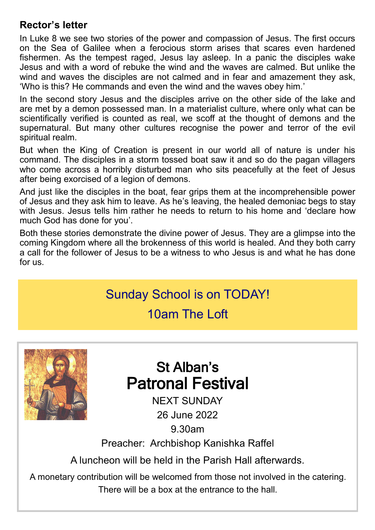#### **Rector's letter**

In Luke 8 we see two stories of the power and compassion of Jesus. The first occurs on the Sea of Galilee when a ferocious storm arises that scares even hardened fishermen. As the tempest raged, Jesus lay asleep. In a panic the disciples wake Jesus and with a word of rebuke the wind and the waves are calmed. But unlike the wind and waves the disciples are not calmed and in fear and amazement they ask, 'Who is this? He commands and even the wind and the waves obey him.'

In the second story Jesus and the disciples arrive on the other side of the lake and are met by a demon possessed man. In a materialist culture, where only what can be scientifically verified is counted as real, we scoff at the thought of demons and the supernatural. But many other cultures recognise the power and terror of the evil spiritual realm.

But when the King of Creation is present in our world all of nature is under his command. The disciples in a storm tossed boat saw it and so do the pagan villagers who come across a horribly disturbed man who sits peacefully at the feet of Jesus after being exorcised of a legion of demons.

And just like the disciples in the boat, fear grips them at the incomprehensible power of Jesus and they ask him to leave. As he's leaving, the healed demoniac begs to stay with Jesus. Jesus tells him rather he needs to return to his home and 'declare how much God has done for you'.

Both these stories demonstrate the divine power of Jesus. They are a glimpse into the coming Kingdom where all the brokenness of this world is healed. And they both carry a call for the follower of Jesus to be a witness to who Jesus is and what he has done for us.

#### Sunday School is on TODAY!

#### 10am The Loft



## St Alban's Patronal Festival

NEXT SUNDAY 26 June 2022 9.30am

Preacher: Archbishop Kanishka Raffel

A luncheon will be held in the Parish Hall afterwards.

A monetary contribution will be welcomed from those not involved in the catering. There will be a box at the entrance to the hall.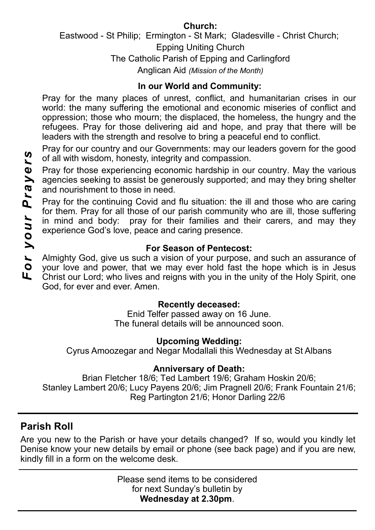#### **Church:**  Eastwood - St Philip; Ermington - St Mark; Gladesville - Christ Church; Epping Uniting Church The Catholic Parish of Epping and Carlingford Anglican Aid *(Mission of the Month)*

#### **In our World and Community:**

Pray for the many places of unrest, conflict, and humanitarian crises in our world: the many suffering the emotional and economic miseries of conflict and oppression; those who mourn; the displaced, the homeless, the hungry and the refugees. Pray for those delivering aid and hope, and pray that there will be leaders with the strength and resolve to bring a peaceful end to conflict.

Pray for our country and our Governments: may our leaders govern for the good of all with wisdom, honesty, integrity and compassion.

Pray for those experiencing economic hardship in our country. May the various agencies seeking to assist be generously supported; and may they bring shelter and nourishment to those in need.

Pray for the continuing Covid and flu situation: the ill and those who are caring for them. Pray for all those of our parish community who are ill, those suffering in mind and body: pray for their families and their carers, and may they experience God's love, peace and caring presence.

#### **For Season of Pentecost:**

Almighty God, give us such a vision of your purpose, and such an assurance of your love and power, that we may ever hold fast the hope which is in Jesus Christ our Lord; who lives and reigns with you in the unity of the Holy Spirit, one God, for ever and ever. Amen.

#### **Recently deceased:**

Enid Telfer passed away on 16 June. The funeral details will be announced soon.

#### **Upcoming Wedding:**

Cyrus Amoozegar and Negar Modallali this Wednesday at St Albans

#### **Anniversary of Death:**

Brian Fletcher 18/6; Ted Lambert 19/6; Graham Hoskin 20/6; Stanley Lambert 20/6; Lucy Payens 20/6; Jim Pragnell 20/6; Frank Fountain 21/6; Reg Partington 21/6; Honor Darling 22/6

#### **Parish Roll**

Are you new to the Parish or have your details changed? If so, would you kindly let Denise know your new details by email or phone (see back page) and if you are new, kindly fill in a form on the welcome desk.

> Please send items to be considered for next Sunday's bulletin by **Wednesday at 2.30pm**.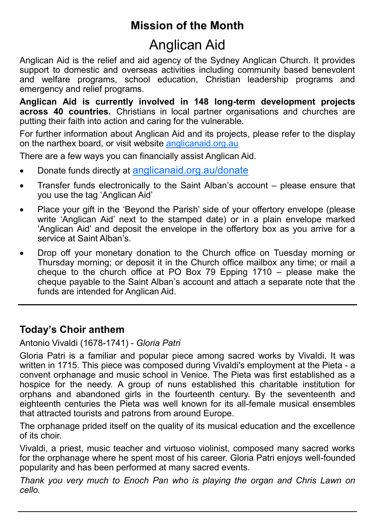#### **Mission of the Month**

## Anglican Aid

Anglican Aid is the relief and aid agency of the Sydney Anglican Church. It provides support to domestic and overseas activities including community based benevolent and welfare programs, school education, Christian leadership programs and emergency and relief programs.

**Anglican Aid is currently involved in 148 long-term development projects across 40 countries.** Christians in local partner organisations and churches are putting their faith into action and caring for the vulnerable.

For further information about Anglican Aid and its projects, please refer to the display on the narthex board, or visit website [anglicanaid.org.au](https://anglicanaid.org.au/)

There are a few ways you can financially assist Anglican Aid.

- Donate funds directly at [anglicanaid.org.au/donate](https://anglicanaid.org.au/donate)
- Transfer funds electronically to the Saint Alban's account please ensure that you use the tag 'Anglican Aid'
- Place your gift in the 'Beyond the Parish' side of your offertory envelope (please write 'Anglican Aid' next to the stamped date) or in a plain envelope marked 'Anglican Aid' and deposit the envelope in the offertory box as you arrive for a service at Saint Alban's
- Drop off your monetary donation to the Church office on Tuesday morning or Thursday morning; or deposit it in the Church office mailbox any time; or mail a cheque to the church office at PO Box 79 Epping 1710 – please make the cheque payable to the Saint Alban's account and attach a separate note that the funds are intended for Anglican Aid.

#### **Today's Choir anthem**

Antonio Vivaldi (1678-1741) - *Gloria Patri*

Gloria Patri is a familiar and popular piece among sacred works by Vivaldi. It was written in 1715. This piece was composed during Vivaldi's employment at the Pieta - a convent orphanage and music school in Venice. The Pieta was first established as a hospice for the needy. A group of nuns established this charitable institution for orphans and abandoned girls in the fourteenth century. By the seventeenth and eighteenth centuries the Pieta was well known for its all-female musical ensembles that attracted tourists and patrons from around Europe.

The orphanage prided itself on the quality of its musical education and the excellence of its choir.

Vivaldi, a priest, music teacher and virtuoso violinist, composed many sacred works for the orphanage where he spent most of his career. Gloria Patri enjoys well-founded popularity and has been performed at many sacred events.

*Thank you very much to Enoch Pan who is playing the organ and Chris Lawn on cello.*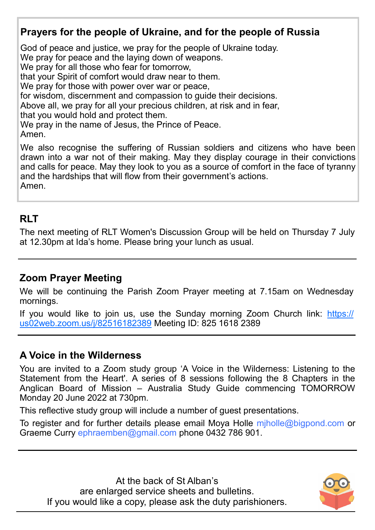#### **Prayers for the people of Ukraine, and for the people of Russia**

God of peace and justice, we pray for the people of Ukraine today.

We pray for peace and the laying down of weapons.

We pray for all those who fear for tomorrow,

that your Spirit of comfort would draw near to them.

We pray for those with power over war or peace,

for wisdom, discernment and compassion to guide their decisions.

Above all, we pray for all your precious children, at risk and in fear,

that you would hold and protect them.

We pray in the name of Jesus, the Prince of Peace.

Amen.

We also recognise the suffering of Russian soldiers and citizens who have been drawn into a war not of their making. May they display courage in their convictions and calls for peace. May they look to you as a source of comfort in the face of tyranny and the hardships that will flow from their government's actions. Amen.

#### **RLT**

The next meeting of RLT Women's Discussion Group will be held on Thursday 7 July at 12.30pm at Ida's home. Please bring your lunch as usual.

#### **Zoom Prayer Meeting**

We will be continuing the Parish Zoom Prayer meeting at 7.15am on Wednesday mornings.

If you would like to join us, use the Sunday morning Zoom Church link: [https://](https://us02web.zoom.us/j/82516182389) [us02web.zoom.us/j/82516182389](https://us02web.zoom.us/j/82516182389) Meeting ID: 825 1618 2389

#### **A Voice in the Wilderness**

You are invited to a Zoom study group 'A Voice in the Wilderness: Listening to the Statement from the Heart'. A series of 8 sessions following the 8 Chapters in the Anglican Board of Mission – Australia Study Guide commencing TOMORROW Monday 20 June 2022 at 730pm.

This reflective study group will include a number of guest presentations.

To register and for further details please email Moya Holle miholle@bigpond.com or Graeme Curry ephraemben@gmail.com phone 0432 786 901.

At the back of St Alban's are enlarged service sheets and bulletins. If you would like a copy, please ask the duty parishioners.

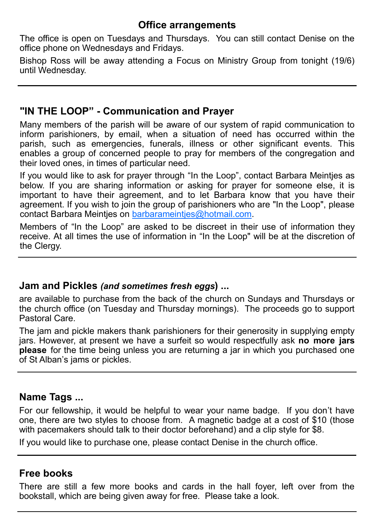#### **Office arrangements**

The office is open on Tuesdays and Thursdays. You can still contact Denise on the office phone on Wednesdays and Fridays.

Bishop Ross will be away attending a Focus on Ministry Group from tonight (19/6) until Wednesday.

#### **"IN THE LOOP" - Communication and Prayer**

Many members of the parish will be aware of our system of rapid communication to inform parishioners, by email, when a situation of need has occurred within the parish, such as emergencies, funerals, illness or other significant events. This enables a group of concerned people to pray for members of the congregation and their loved ones, in times of particular need.

If you would like to ask for prayer through "In the Loop", contact Barbara Meintjes as below. If you are sharing information or asking for prayer for someone else, it is important to have their agreement, and to let Barbara know that you have their agreement. If you wish to join the group of parishioners who are "In the Loop", please contact Barbara Meintjes on [barbarameintjes@hotmail.com.](mailto:barbarameintjes@hotmail.com) 

Members of "In the Loop" are asked to be discreet in their use of information they receive. At all times the use of information in "In the Loop" will be at the discretion of the Clergy.

#### **Jam and Pickles** *(and sometimes fresh eggs***) ...**

are available to purchase from the back of the church on Sundays and Thursdays or the church office (on Tuesday and Thursday mornings). The proceeds go to support Pastoral Care.

The jam and pickle makers thank parishioners for their generosity in supplying empty jars. However, at present we have a surfeit so would respectfully ask **no more jars please** for the time being unless you are returning a jar in which you purchased one of St Alban's jams or pickles.

#### **Name Tags ...**

For our fellowship, it would be helpful to wear your name badge. If you don't have one, there are two styles to choose from. A magnetic badge at a cost of \$10 (those with pacemakers should talk to their doctor beforehand) and a clip style for \$8.

If you would like to purchase one, please contact Denise in the church office.

#### **Free books**

There are still a few more books and cards in the hall foyer, left over from the bookstall, which are being given away for free. Please take a look.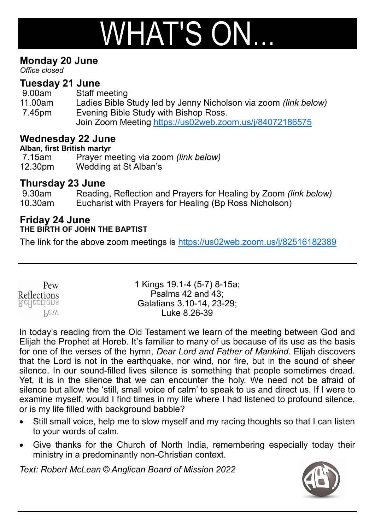# $W$ HAT'S ON...

#### **Monday 20 June**

*Office closed*

#### **Tuesday 21 June**

9.00am Staff meeting 11.00am Ladies Bible Study led by Jenny Nicholson via zoom *(link below)* 7.45pm Evening Bible Study with Bishop Ross. Join Zoom Meeting <https://us02web.zoom.us/j/84072186575>

#### **Wednesday 22 June**

**Alban, first British martyr**

7.15am Prayer meeting via zoom *(link below)* 12.30pm Wedding at St Alban's

#### **Thursday 23 June**

9.30am Reading, Reflection and Prayers for Healing by Zoom *(link below)* 10.30am Eucharist with Prayers for Healing (Bp Ross Nicholson)

#### **Friday 24 June THE BIRTH OF JOHN THE BAPTIST**

The link for the above zoom meetings is <https://us02web.zoom.us/j/82516182389>

| Pew         |  |
|-------------|--|
| Reflections |  |
| Reflections |  |
| Pew         |  |

1 Kings 19.1-4 (5-7) 8-15a; Psalms 42 and 43; Galatians 3.10-14, 23-29; Luke 8.26-39

In today's reading from the Old Testament we learn of the meeting between God and Elijah the Prophet at Horeb. It's familiar to many of us because of its use as the basis for one of the verses of the hymn, *Dear Lord and Father of Mankind.* Elijah discovers that the Lord is not in the earthquake, nor wind, nor fire, but in the sound of sheer silence. In our sound-filled lives silence is something that people sometimes dread. Yet, it is in the silence that we can encounter the holy. We need not be afraid of silence but allow the 'still, small voice of calm' to speak to us and direct us. If I were to examine myself, would I find times in my life where I had listened to profound silence, or is my life filled with background babble?

- Still small voice, help me to slow myself and my racing thoughts so that I can listen to your words of calm.
- Give thanks for the Church of North India, remembering especially today their ministry in a predominantly non-Christian context.

*Text: Robert McLean © Anglican Board of Mission 2022*